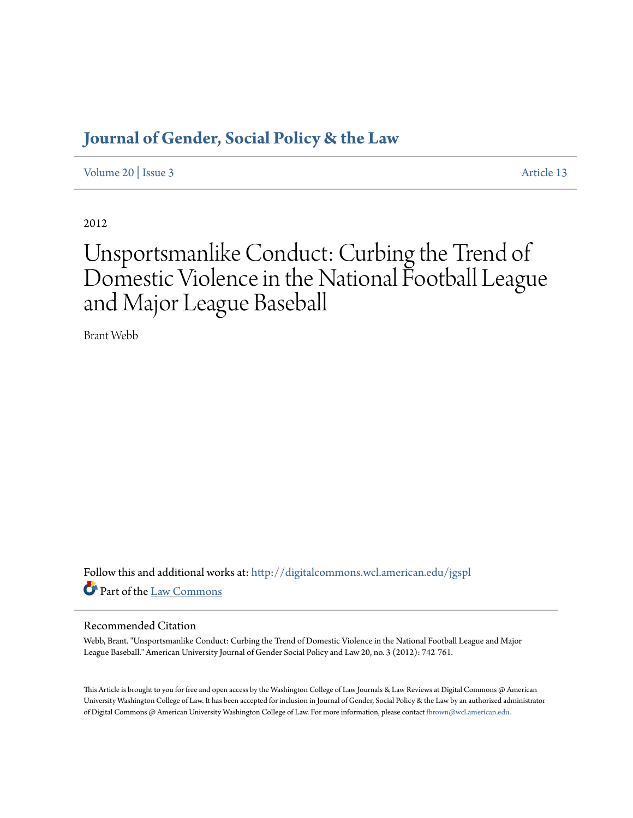# **[Journal of Gender, Social Policy & the Law](http://digitalcommons.wcl.american.edu/jgspl?utm_source=digitalcommons.wcl.american.edu%2Fjgspl%2Fvol20%2Fiss3%2F13&utm_medium=PDF&utm_campaign=PDFCoverPages)**

[Volume 20](http://digitalcommons.wcl.american.edu/jgspl/vol20?utm_source=digitalcommons.wcl.american.edu%2Fjgspl%2Fvol20%2Fiss3%2F13&utm_medium=PDF&utm_campaign=PDFCoverPages) | [Issue 3](http://digitalcommons.wcl.american.edu/jgspl/vol20/iss3?utm_source=digitalcommons.wcl.american.edu%2Fjgspl%2Fvol20%2Fiss3%2F13&utm_medium=PDF&utm_campaign=PDFCoverPages) [Article 13](http://digitalcommons.wcl.american.edu/jgspl/vol20/iss3/13?utm_source=digitalcommons.wcl.american.edu%2Fjgspl%2Fvol20%2Fiss3%2F13&utm_medium=PDF&utm_campaign=PDFCoverPages)

2012

# Unsportsmanlike Conduct: Curbing the Trend of Domestic Violence in the National Football League and Major League Baseball

Brant Webb

Follow this and additional works at: [http://digitalcommons.wcl.american.edu/jgspl](http://digitalcommons.wcl.american.edu/jgspl?utm_source=digitalcommons.wcl.american.edu%2Fjgspl%2Fvol20%2Fiss3%2F13&utm_medium=PDF&utm_campaign=PDFCoverPages) Part of the [Law Commons](http://network.bepress.com/hgg/discipline/578?utm_source=digitalcommons.wcl.american.edu%2Fjgspl%2Fvol20%2Fiss3%2F13&utm_medium=PDF&utm_campaign=PDFCoverPages)

# Recommended Citation

Webb, Brant. "Unsportsmanlike Conduct: Curbing the Trend of Domestic Violence in the National Football League and Major League Baseball." American University Journal of Gender Social Policy and Law 20, no. 3 (2012): 742-761.

This Article is brought to you for free and open access by the Washington College of Law Journals & Law Reviews at Digital Commons @ American University Washington College of Law. It has been accepted for inclusion in Journal of Gender, Social Policy & the Law by an authorized administrator of Digital Commons @ American University Washington College of Law. For more information, please contact [fbrown@wcl.american.edu.](mailto:fbrown@wcl.american.edu)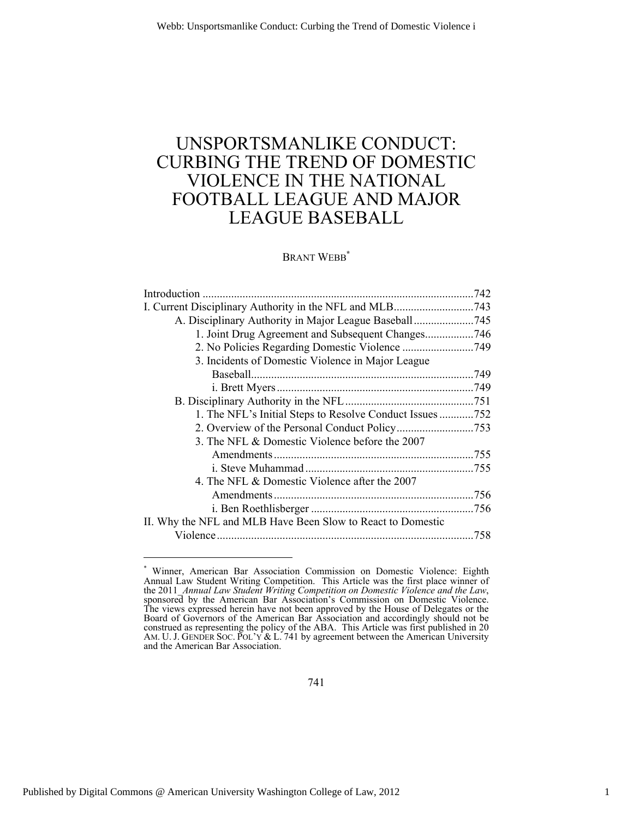# UNSPORTSMANLIKE CONDUCT: CURBING THE TREND OF DOMESTIC VIOLENCE IN THE NATIONAL FOOTBALL LEAGUE AND MAJOR LEAGUE BASEBALL

# BRANT WEBB**\***

| A. Disciplinary Authority in Major League Baseball745       |      |
|-------------------------------------------------------------|------|
| 1. Joint Drug Agreement and Subsequent Changes746           |      |
|                                                             |      |
| 3. Incidents of Domestic Violence in Major League           |      |
|                                                             |      |
|                                                             |      |
|                                                             |      |
| 1. The NFL's Initial Steps to Resolve Conduct Issues752     |      |
|                                                             |      |
| 3. The NFL & Domestic Violence before the 2007              |      |
|                                                             |      |
|                                                             |      |
| 4. The NFL & Domestic Violence after the 2007               |      |
|                                                             |      |
|                                                             |      |
| II. Why the NFL and MLB Have Been Slow to React to Domestic |      |
|                                                             | .758 |
|                                                             |      |

<sup>\*</sup> Winner, American Bar Association Commission on Domestic Violence: Eighth Annual Law Student Writing Competition. This Article was the first place winner of the 2011\_*Annual Law Student Writing Competition on Domestic Violence and the Law*, sponsored by the American Bar Association's Commission on Domestic Violence. The views expressed herein have not been approved by the House of Delegates or the Board of Governors of the American Bar Association and accordingly should not be construed as representing the policy of the ABA. This Article was first published in 20 AM. U. J. GENDER SOC. POL'Y & L. 741 by agreement between the American University and the American Bar Association.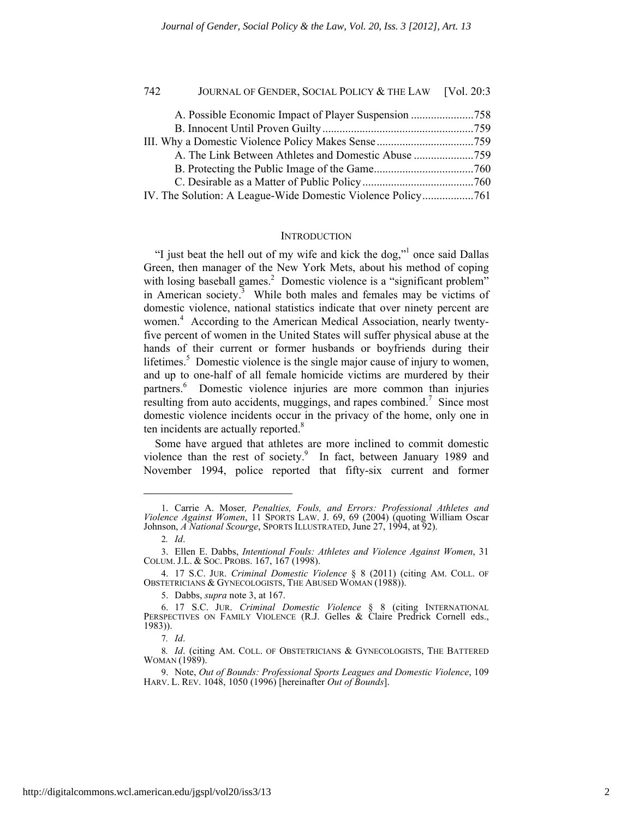| 742 | JOURNAL OF GENDER, SOCIAL POLICY & THE LAW [Vol. 20:3 |  |
|-----|-------------------------------------------------------|--|
|     |                                                       |  |
|     |                                                       |  |
|     |                                                       |  |
|     | A. The Link Between Athletes and Domestic Abuse 759   |  |
|     |                                                       |  |
|     |                                                       |  |
|     |                                                       |  |

#### **INTRODUCTION**

"I just beat the hell out of my wife and kick the dog,"<sup>1</sup> once said Dallas Green, then manager of the New York Mets, about his method of coping with losing baseball games.<sup>2</sup> Domestic violence is a "significant problem" in American society.<sup>3</sup> While both males and females may be victims of domestic violence, national statistics indicate that over ninety percent are women.<sup>4</sup> According to the American Medical Association, nearly twentyfive percent of women in the United States will suffer physical abuse at the hands of their current or former husbands or boyfriends during their lifetimes.<sup>5</sup> Domestic violence is the single major cause of injury to women, and up to one-half of all female homicide victims are murdered by their partners.<sup>6</sup> Domestic violence injuries are more common than injuries resulting from auto accidents, muggings, and rapes combined.<sup>7</sup> Since most domestic violence incidents occur in the privacy of the home, only one in ten incidents are actually reported.<sup>8</sup>

Some have argued that athletes are more inclined to commit domestic violence than the rest of society.<sup>9</sup> In fact, between January 1989 and November 1994, police reported that fifty-six current and former

l

5. Dabbs, *supra* note 3, at 167.

<sup>1.</sup> Carrie A. Moser*, Penalties, Fouls, and Errors: Professional Athletes and Violence Against Women*, 11 SPORTS LAW. J. 69, 69 (2004) (quoting William Oscar Johnson, *A National Scourge*, SPORTS ILLUSTRATED, June 27, 1994, at 92).

<sup>2</sup>*. Id*.

<sup>3.</sup> Ellen E. Dabbs, *Intentional Fouls: Athletes and Violence Against Women*, 31 COLUM. J.L. & SOC. PROBS. 167, 167 (1998).

<sup>4. 17</sup> S.C. JUR. *Criminal Domestic Violence* § 8 (2011) (citing AM. COLL. OF OBSTETRICIANS & GYNECOLOGISTS, THE ABUSED WOMAN (1988)).

<sup>6. 17</sup> S.C. JUR. *Criminal Domestic Violence* § 8 (citing INTERNATIONAL PERSPECTIVES ON FAMILY VIOLENCE (R.J. Gelles & Claire Predrick Cornell eds., 1983)).

<sup>7</sup>*. Id*.

<sup>8</sup>*. Id*. (citing AM. COLL. OF OBSTETRICIANS & GYNECOLOGISTS, THE BATTERED WOMAN (1989).

<sup>9.</sup> Note, *Out of Bounds: Professional Sports Leagues and Domestic Violence*, 109 HARV. L. REV. 1048, 1050 (1996) [hereinafter *Out of Bounds*].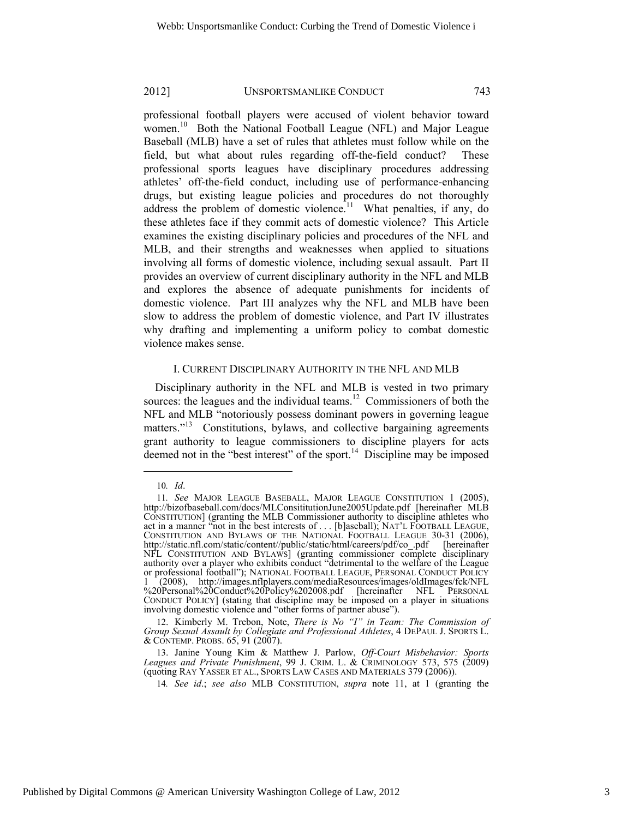professional football players were accused of violent behavior toward women.<sup>10</sup> Both the National Football League (NFL) and Major League Baseball (MLB) have a set of rules that athletes must follow while on the field, but what about rules regarding off-the-field conduct? These professional sports leagues have disciplinary procedures addressing athletes' off-the-field conduct, including use of performance-enhancing drugs, but existing league policies and procedures do not thoroughly address the problem of domestic violence.<sup>11</sup> What penalties, if any, do these athletes face if they commit acts of domestic violence? This Article examines the existing disciplinary policies and procedures of the NFL and MLB, and their strengths and weaknesses when applied to situations involving all forms of domestic violence, including sexual assault. Part II provides an overview of current disciplinary authority in the NFL and MLB and explores the absence of adequate punishments for incidents of domestic violence. Part III analyzes why the NFL and MLB have been slow to address the problem of domestic violence, and Part IV illustrates why drafting and implementing a uniform policy to combat domestic violence makes sense.

# I. CURRENT DISCIPLINARY AUTHORITY IN THE NFL AND MLB

Disciplinary authority in the NFL and MLB is vested in two primary sources: the leagues and the individual teams.<sup>12</sup> Commissioners of both the NFL and MLB "notoriously possess dominant powers in governing league matters."<sup>13</sup> Constitutions, bylaws, and collective bargaining agreements grant authority to league commissioners to discipline players for acts deemed not in the "best interest" of the sport. $14$  Discipline may be imposed

<sup>10</sup>*. Id*.

<sup>11</sup>*. See* MAJOR LEAGUE BASEBALL, MAJOR LEAGUE CONSTITUTION 1 (2005), http://bizofbaseball.com/docs/MLConsititutionJune2005Update.pdf [hereinafter MLB CONSTITUTION] (granting the MLB Commissioner authority to discipline athletes who act in a manner "not in the best interests of . . . [b]aseball); NAT'L FOOTBALL LEAGUE, CONSTITUTION AND BYLAWS OF THE NATIONAL FOOTBALL LEAGUE 30-31 (2006), http://static.nfl.com/static/content//public/static/html/careers http://static.nfl.com/static/content//public/static/html/careers/pdf/co\_.pdf NFL CONSTITUTION AND BYLAWS] (granting commissioner complete disciplinary authority over a player who exhibits conduct "detrimental to the welfare of the League or professional football"); NATIONAL FOOTBALL LEAGUE, PERSONAL CONDUCT POLICY 1 (2008), http://images.nflplayers.com/mediaResources/images/oldImages/fck/NFL %20Personal%20Conduct%20Policy%202008.pdf [hereinafter NFL PERSONAL CONDUCT POLICY] (stating that discipline may be imposed on a player in situations involving domestic violence and "other forms of partner abuse").

<sup>12.</sup> Kimberly M. Trebon, Note, *There is No "I" in Team: The Commission of Group Sexual Assault by Collegiate and Professional Athletes*, 4 DEPAUL J. SPORTS L. & CONTEMP. PROBS. 65, 91 (2007).

<sup>13.</sup> Janine Young Kim & Matthew J. Parlow, *Off-Court Misbehavior: Sports Leagues and Private Punishment*, 99 J. CRIM. L. & CRIMINOLOGY 573, 575 (2009) (quoting RAY YASSER ET AL., SPORTS LAW CASES AND MATERIALS 379 (2006)).

<sup>14</sup>*. See id*.; *see also* MLB CONSTITUTION, *supra* note 11, at 1 (granting the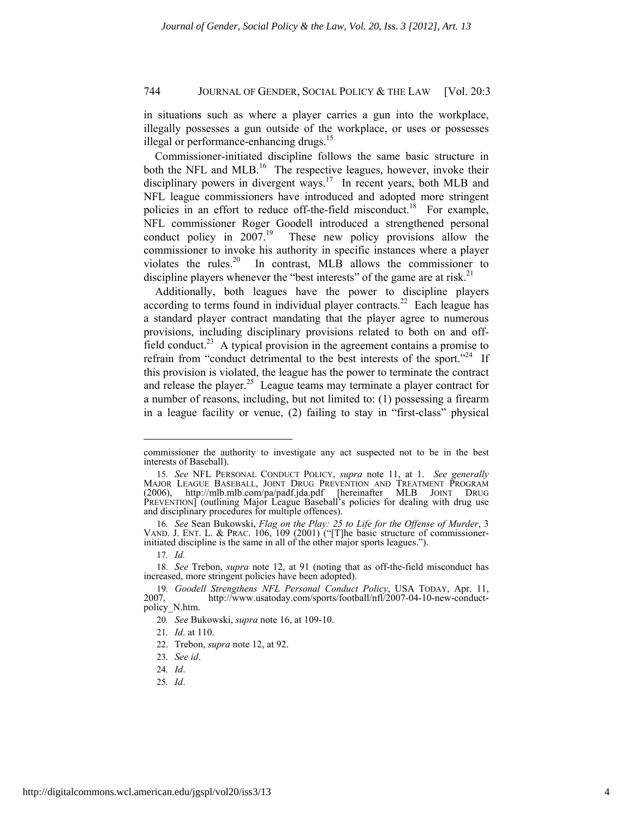in situations such as where a player carries a gun into the workplace, illegally possesses a gun outside of the workplace, or uses or possesses illegal or performance-enhancing drugs.<sup>15</sup>

Commissioner-initiated discipline follows the same basic structure in both the NFL and MLB.<sup>16</sup> The respective leagues, however, invoke their disciplinary powers in divergent ways.<sup>17</sup> In recent years, both MLB and NFL league commissioners have introduced and adopted more stringent policies in an effort to reduce off-the-field misconduct.<sup>18</sup> For example, NFL commissioner Roger Goodell introduced a strengthened personal conduct policy in 2007.<sup>19</sup> These new policy provisions allow the These new policy provisions allow the commissioner to invoke his authority in specific instances where a player violates the rules.20 In contrast, MLB allows the commissioner to discipline players whenever the "best interests" of the game are at risk.<sup>21</sup>

Additionally, both leagues have the power to discipline players according to terms found in individual player contracts.<sup>22</sup> Each league has a standard player contract mandating that the player agree to numerous provisions, including disciplinary provisions related to both on and offfield conduct.<sup>23</sup> A typical provision in the agreement contains a promise to refrain from "conduct detrimental to the best interests of the sport."<sup>24</sup> If this provision is violated, the league has the power to terminate the contract and release the player.<sup>25</sup> League teams may terminate a player contract for a number of reasons, including, but not limited to: (1) possessing a firearm in a league facility or venue, (2) failing to stay in "first-class" physical

l

commissioner the authority to investigate any act suspected not to be in the best interests of Baseball).

<sup>15</sup>*. See* NFL PERSONAL CONDUCT POLICY, *supra* note 11, at 1. *See generally* MAJOR LEAGUE BASEBALL, JOINT DRUG PREVENTION AND TREATMENT PROGRAM (2006), http://mlb.mlb.com/pa/padf.jda.pdf [hereinafter MLB JOINT DRUG PREVENTION] (outlining Major League Baseball's policies for dealing with drug use and disciplinary procedures for multiple offences).

<sup>16</sup>*. See* Sean Bukowski, *Flag on the Play: 25 to Life for the Offense of Murder*, 3 VAND. J. ENT. L. & PRAC. 106, 109 (2001) ("[T]he basic structure of commissionerinitiated discipline is the same in all of the other major sports leagues.").

<sup>17</sup>*. Id.*

<sup>18</sup>*. See* Trebon, *supra* note 12, at 91 (noting that as off-the-field misconduct has increased, more stringent policies have been adopted).

<sup>19</sup>*. Goodell Strengthens NFL Personal Conduct Policy*, USA TODAY, Apr. 11, http://www.usatoday.com/sports/football/nfl/2007-04-10-new-conductpolicy\_N.htm.

<sup>20</sup>*. See* Bukowski, *supra* note 16, at 109-10.

<sup>21</sup>*. Id*. at 110.

<sup>22.</sup> Trebon, *supra* note 12, at 92.

<sup>23</sup>*. See id*.

<sup>24</sup>*. Id*.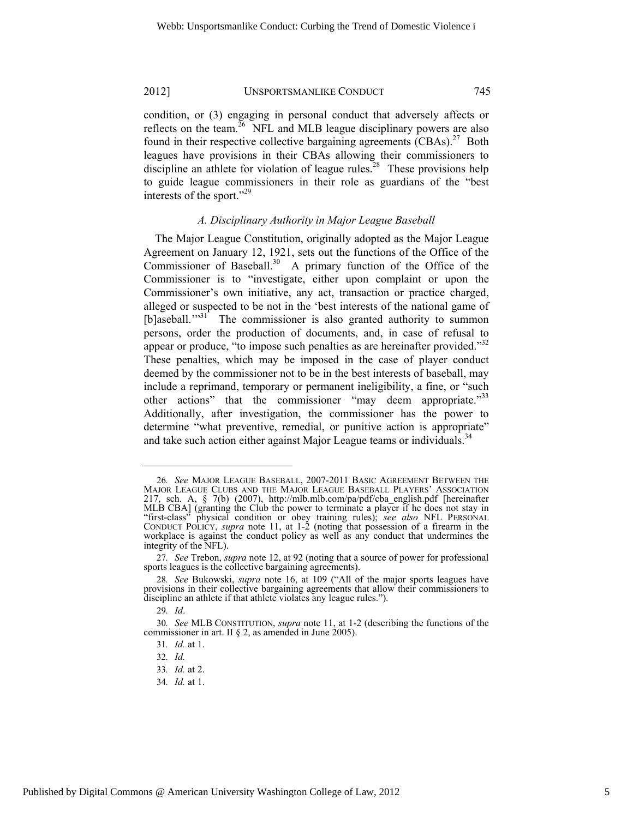condition, or (3) engaging in personal conduct that adversely affects or reflects on the team.<sup>26</sup> NFL and MLB league disciplinary powers are also found in their respective collective bargaining agreements  $(CBAs)$ <sup>27</sup> Both leagues have provisions in their CBAs allowing their commissioners to discipline an athlete for violation of league rules.<sup>28</sup> These provisions help to guide league commissioners in their role as guardians of the "best interests of the sport."<sup>29</sup>

#### *A. Disciplinary Authority in Major League Baseball*

The Major League Constitution, originally adopted as the Major League Agreement on January 12, 1921, sets out the functions of the Office of the Commissioner of Baseball. $30$  A primary function of the Office of the Commissioner is to "investigate, either upon complaint or upon the Commissioner's own initiative, any act, transaction or practice charged, alleged or suspected to be not in the 'best interests of the national game of [b]aseball."<sup>31</sup> The commissioner is also granted authority to summon persons, order the production of documents, and, in case of refusal to appear or produce, "to impose such penalties as are hereinafter provided."<sup>32</sup> These penalties, which may be imposed in the case of player conduct deemed by the commissioner not to be in the best interests of baseball, may include a reprimand, temporary or permanent ineligibility, a fine, or "such other actions" that the commissioner "may deem appropriate."<sup>33</sup> Additionally, after investigation, the commissioner has the power to determine "what preventive, remedial, or punitive action is appropriate" and take such action either against Major League teams or individuals.<sup>34</sup>

l

34*. Id.* at 1.

<sup>26</sup>*. See* MAJOR LEAGUE BASEBALL, 2007-2011 BASIC AGREEMENT BETWEEN THE MAJOR LEAGUE CLUBS AND THE MAJOR LEAGUE BASEBALL PLAYERS' ASSOCIATION 217, sch. A, § 7(b) (2007), http://mlb.mlb.com/pa/pdf/cba\_english.pdf [hereinafter MLB CBA] (granting the Club the power to terminate a player if he does not stay in "first-class" physical condition or obey training rules); *see also* NFL PERSONAL CONDUCT POLICY, *supra* note 11, at 1-2 (noting that possession of a firearm in the workplace is against the conduct policy as well as any conduct that undermines the integrity of the NFL).

<sup>27</sup>*. See* Trebon, *supra* note 12, at 92 (noting that a source of power for professional sports leagues is the collective bargaining agreements).

<sup>28</sup>*. See* Bukowski, *supra* note 16, at 109 ("All of the major sports leagues have provisions in their collective bargaining agreements that allow their commissioners to discipline an athlete if that athlete violates any league rules.").

<sup>29</sup>*. Id*.

<sup>30</sup>*. See* MLB CONSTITUTION, *supra* note 11, at 1-2 (describing the functions of the commissioner in art. II § 2, as amended in June 2005).

<sup>31</sup>*. Id.* at 1.

<sup>32</sup>*. Id.*

<sup>33</sup>*. Id.* at 2.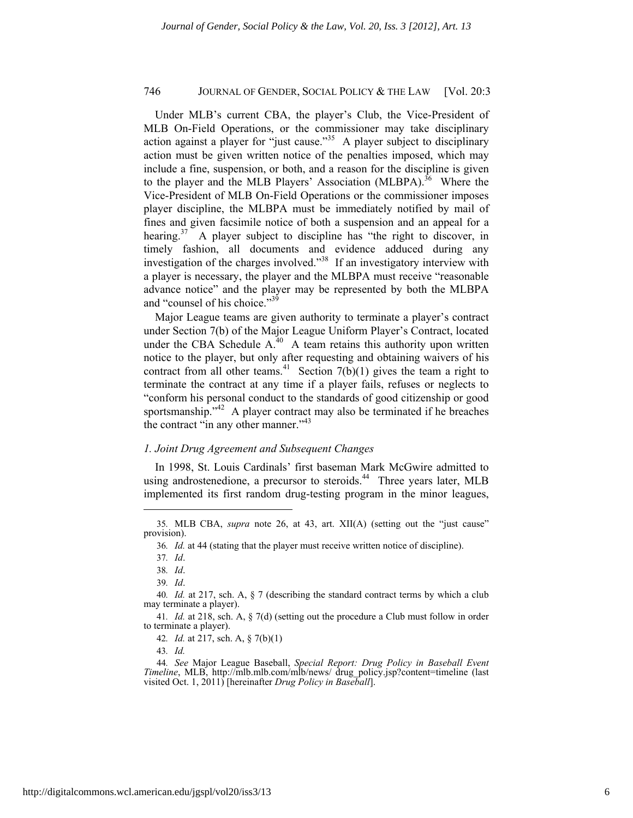Under MLB's current CBA, the player's Club, the Vice-President of MLB On-Field Operations, or the commissioner may take disciplinary action against a player for "just cause."35 A player subject to disciplinary action must be given written notice of the penalties imposed, which may include a fine, suspension, or both, and a reason for the discipline is given to the player and the MLB Players' Association (MLBPA).<sup>36</sup> Where the Vice-President of MLB On-Field Operations or the commissioner imposes player discipline, the MLBPA must be immediately notified by mail of fines and given facsimile notice of both a suspension and an appeal for a hearing.<sup>37</sup> A player subject to discipline has "the right to discover, in timely fashion, all documents and evidence adduced during any investigation of the charges involved."38 If an investigatory interview with a player is necessary, the player and the MLBPA must receive "reasonable advance notice" and the player may be represented by both the MLBPA and "counsel of his choice."39

Major League teams are given authority to terminate a player's contract under Section 7(b) of the Major League Uniform Player's Contract, located under the CBA Schedule  $A<sup>40</sup>$  A team retains this authority upon written notice to the player, but only after requesting and obtaining waivers of his contract from all other teams.<sup>41</sup> Section  $7(b)(1)$  gives the team a right to terminate the contract at any time if a player fails, refuses or neglects to "conform his personal conduct to the standards of good citizenship or good sportsmanship."<sup>42</sup> A player contract may also be terminated if he breaches the contract "in any other manner."<sup>43</sup>

#### *1. Joint Drug Agreement and Subsequent Changes*

In 1998, St. Louis Cardinals' first baseman Mark McGwire admitted to using androstenedione, a precursor to steroids.<sup>44</sup> Three years later, MLB implemented its first random drug-testing program in the minor leagues,

<sup>35</sup>*.* MLB CBA, *supra* note 26, at 43, art. XII(A) (setting out the "just cause" provision).

<sup>36</sup>*. Id.* at 44 (stating that the player must receive written notice of discipline).

<sup>37</sup>*. Id*.

<sup>38</sup>*. Id*.

<sup>39</sup>*. Id*.

<sup>40</sup>*. Id.* at 217, sch. A, § 7 (describing the standard contract terms by which a club may terminate a player).

<sup>41</sup>*. Id.* at 218, sch. A, § 7(d) (setting out the procedure a Club must follow in order to terminate a player).

<sup>42</sup>*. Id.* at 217, sch. A, § 7(b)(1)

<sup>43</sup>*. Id.*

<sup>44</sup>*. See* Major League Baseball, *Special Report: Drug Policy in Baseball Event Timeline*, MLB, http://mlb.mlb.com/mlb/news/ drug policy.jsp?content=timeline (last visited Oct. 1, 2011) [hereinafter *Drug Policy in Baseball*].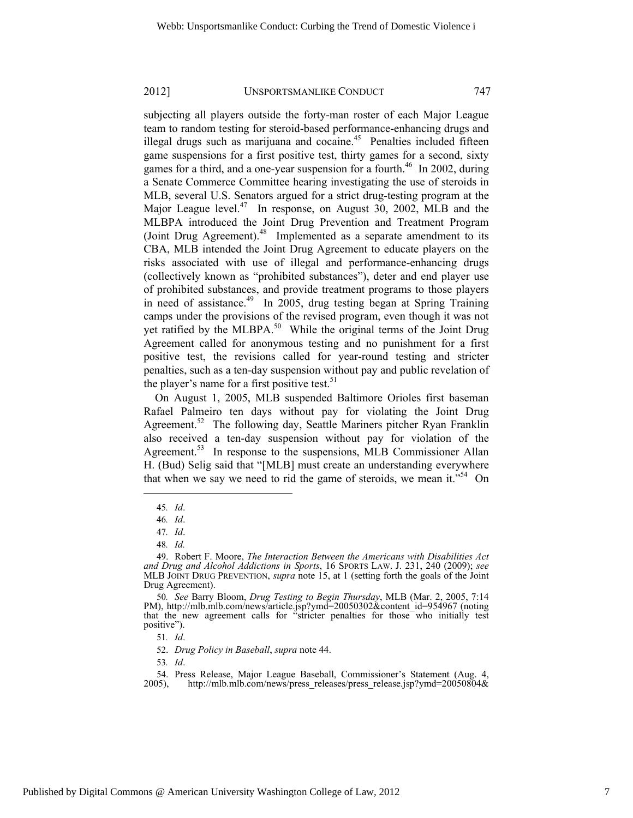subjecting all players outside the forty-man roster of each Major League team to random testing for steroid-based performance-enhancing drugs and illegal drugs such as marijuana and cocaine.<sup>45</sup> Penalties included fifteen game suspensions for a first positive test, thirty games for a second, sixty games for a third, and a one-year suspension for a fourth.<sup>46</sup> In 2002, during a Senate Commerce Committee hearing investigating the use of steroids in MLB, several U.S. Senators argued for a strict drug-testing program at the Major League level. $47$  In response, on August 30, 2002, MLB and the MLBPA introduced the Joint Drug Prevention and Treatment Program (Joint Drug Agreement).<sup>48</sup> Implemented as a separate amendment to its CBA, MLB intended the Joint Drug Agreement to educate players on the risks associated with use of illegal and performance-enhancing drugs (collectively known as "prohibited substances"), deter and end player use of prohibited substances, and provide treatment programs to those players in need of assistance.<sup>49</sup> In 2005, drug testing began at Spring Training camps under the provisions of the revised program, even though it was not yet ratified by the MLBPA.<sup>50</sup> While the original terms of the Joint Drug Agreement called for anonymous testing and no punishment for a first positive test, the revisions called for year-round testing and stricter penalties, such as a ten-day suspension without pay and public revelation of the player's name for a first positive test.<sup>51</sup>

On August 1, 2005, MLB suspended Baltimore Orioles first baseman Rafael Palmeiro ten days without pay for violating the Joint Drug Agreement.<sup>52</sup> The following day, Seattle Mariners pitcher Ryan Franklin also received a ten-day suspension without pay for violation of the Agreement.<sup>53</sup> In response to the suspensions, MLB Commissioner Allan H. (Bud) Selig said that "[MLB] must create an understanding everywhere that when we say we need to rid the game of steroids, we mean it."<sup>54</sup> On

l

<sup>45</sup>*. Id*.

<sup>46</sup>*. Id*.

<sup>47</sup>*. Id*.

<sup>48</sup>*. Id.*

<sup>49.</sup> Robert F. Moore, *The Interaction Between the Americans with Disabilities Act and Drug and Alcohol Addictions in Sports*, 16 SPORTS LAW. J. 231, 240 (2009); *see* MLB JOINT DRUG PREVENTION, *supra* note 15, at 1 (setting forth the goals of the Joint Drug Agreement).

<sup>50</sup>*. See* Barry Bloom, *Drug Testing to Begin Thursday*, MLB (Mar. 2, 2005, 7:14 PM), http://mlb.mlb.com/news/article.jsp?ymd=20050302&content\_id=954967 (noting that the new agreement calls for "stricter penalties for those who initially test positive").

<sup>51</sup>*. Id*.

<sup>52.</sup> *Drug Policy in Baseball*, *supra* note 44.

<sup>54.</sup> Press Release, Major League Baseball, Commissioner's Statement (Aug. 4, 2005), http://mlb.mlb.com/news/press releases/press release.jsp?ymd=20050804& http://mlb.mlb.com/news/press\_releases/press\_release.jsp?ymd=20050804&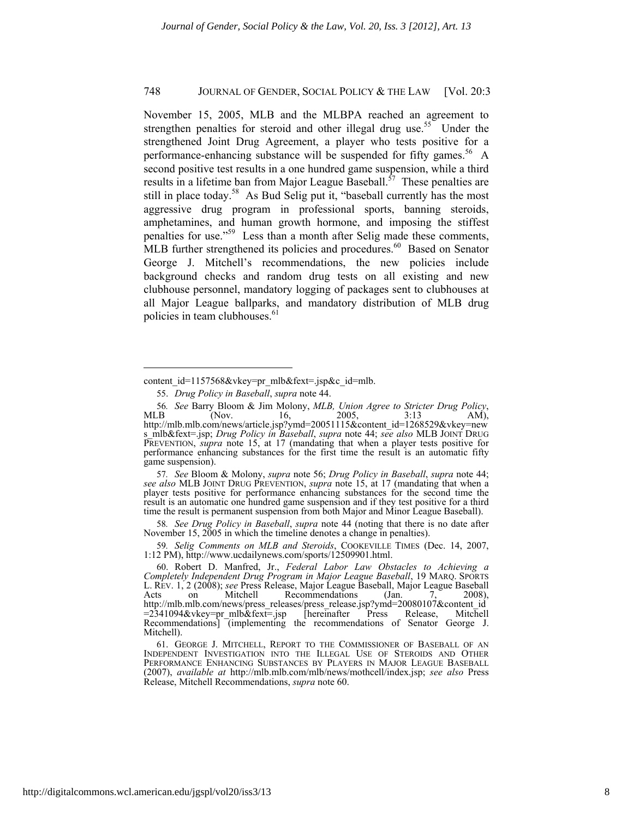November 15, 2005, MLB and the MLBPA reached an agreement to strengthen penalties for steroid and other illegal drug use.<sup>55</sup> Under the strengthened Joint Drug Agreement, a player who tests positive for a performance-enhancing substance will be suspended for fifty games.<sup>56</sup> A second positive test results in a one hundred game suspension, while a third results in a lifetime ban from Major League Baseball.<sup> $57$ </sup> These penalties are still in place today.<sup>58</sup> As Bud Selig put it, "baseball currently has the most aggressive drug program in professional sports, banning steroids, amphetamines, and human growth hormone, and imposing the stiffest penalties for use."59 Less than a month after Selig made these comments, MLB further strengthened its policies and procedures.<sup>60</sup> Based on Senator George J. Mitchell's recommendations, the new policies include background checks and random drug tests on all existing and new clubhouse personnel, mandatory logging of packages sent to clubhouses at all Major League ballparks, and mandatory distribution of MLB drug policies in team clubhouses.<sup>61</sup>

57*. See* Bloom & Molony, *supra* note 56; *Drug Policy in Baseball*, *supra* note 44; *see also* MLB JOINT DRUG PREVENTION, *supra* note 15, at 17 (mandating that when a player tests positive for performance enhancing substances for the second time the result is an automatic one hundred game suspension and if they test positive for a third time the result is permanent suspension from both Major and Minor League Baseball).

58*. See Drug Policy in Baseball*, *supra* note 44 (noting that there is no date after November 15, 2005 in which the timeline denotes a change in penalties).

59*. Selig Comments on MLB and Steroids*, COOKEVILLE TIMES (Dec. 14, 2007, 1:12 PM), http://www.ucdailynews.com/sports/12509901.html.

content id=1157568&vkey=pr\_mlb&fext=.jsp&c\_id=mlb.

<sup>55.</sup> *Drug Policy in Baseball*, *supra* note 44.

<sup>56</sup>*. See* Barry Bloom & Jim Molony, *MLB, Union Agree to Stricter Drug Policy*, MLB (Nov. 16, 2005, 3:13 AM), http://mlb.mlb.com/news/article.jsp?ymd=20051115&content\_id=1268529&vkey=new s\_mlb&fext=.jsp; *Drug Policy in Baseball*, *supra* note 44; *see also* MLB JOINT DRUG PREVENTION, *supra* note 15, at 17 (mandating that when a player tests positive for performance enhancing substances for the first time the result is an automatic fifty game suspension).

<sup>60.</sup> Robert D. Manfred, Jr., *Federal Labor Law Obstacles to Achieving a Completely Independent Drug Program in Major League Baseball*, 19 MARQ. SPORTS L. REV. 1, 2 (2008); *see* Press Release, Major League Baseball, Major League Baseball Acts on Mitchell Recommendations (Jan. 7, 2008), http://mlb.mlb.com/news/press\_releases/press\_release.jsp?ymd=20080107&content\_id =2341094&vkey=pr\_mlb&fext=.jsp [hereinafter Press Release, Mitchell Recommendations<sup>'</sup> [implementing the recommendations of Senator George J. Mitchell).

<sup>61.</sup> GEORGE J. MITCHELL, REPORT TO THE COMMISSIONER OF BASEBALL OF AN INDEPENDENT INVESTIGATION INTO THE ILLEGAL USE OF STEROIDS AND OTHER PERFORMANCE ENHANCING SUBSTANCES BY PLAYERS IN MAJOR LEAGUE BASEBALL (2007), *available at* http://mlb.mlb.com/mlb/news/mothcell/index.jsp; *see also* Press Release, Mitchell Recommendations, *supra* note 60.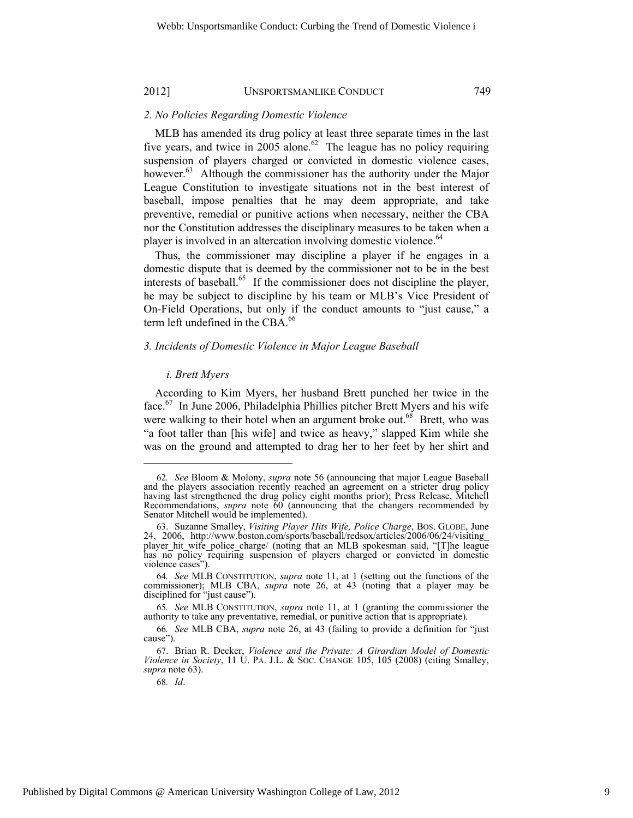#### *2. No Policies Regarding Domestic Violence*

MLB has amended its drug policy at least three separate times in the last five years, and twice in 2005 alone.<sup>62</sup> The league has no policy requiring suspension of players charged or convicted in domestic violence cases, however.<sup>63</sup> Although the commissioner has the authority under the Major League Constitution to investigate situations not in the best interest of baseball, impose penalties that he may deem appropriate, and take preventive, remedial or punitive actions when necessary, neither the CBA nor the Constitution addresses the disciplinary measures to be taken when a player is involved in an altercation involving domestic violence.<sup>64</sup>

Thus, the commissioner may discipline a player if he engages in a domestic dispute that is deemed by the commissioner not to be in the best interests of baseball.<sup>65</sup> If the commissioner does not discipline the player, he may be subject to discipline by his team or MLB's Vice President of On-Field Operations, but only if the conduct amounts to "just cause," a term left undefined in the CBA.<sup>66</sup>

# *3. Incidents of Domestic Violence in Major League Baseball*

#### *i. Brett Myers*

According to Kim Myers, her husband Brett punched her twice in the face.67 In June 2006, Philadelphia Phillies pitcher Brett Myers and his wife were walking to their hotel when an argument broke out.<sup>68</sup> Brett, who was "a foot taller than [his wife] and twice as heavy," slapped Kim while she was on the ground and attempted to drag her to her feet by her shirt and

<sup>62</sup>*. See* Bloom & Molony, *supra* note 56 (announcing that major League Baseball and the players association recently reached an agreement on a stricter drug policy having last strengthened the drug policy eight months prior); Press Release, Mitchell Recommendations, *supra* note 60 (announcing that the changers recommended by Senator Mitchell would be implemented).

<sup>63.</sup> Suzanne Smalley, *Visiting Player Hits Wife, Police Charge*, BOS. GLOBE, June 24, 2006, http://www.boston.com/sports/baseball/redsox/articles/2006/06/24/visiting\_ player\_hit\_wife\_police\_charge/ (noting that an MLB spokesman said, "[T]he league has no policy requiring suspension of players charged or convicted in domestic violence cases").

<sup>64</sup>*. See* MLB CONSTITUTION, *supra* note 11, at 1 (setting out the functions of the commissioner); MLB CBA, *supra* note 26, at 43 (noting that a player may be disciplined for "just cause").

<sup>65</sup>*. See* MLB CONSTITUTION, *supra* note 11, at 1 (granting the commissioner the authority to take any preventative, remedial, or punitive action that is appropriate).

<sup>66</sup>*. See* MLB CBA, *supra* note 26, at 43 (failing to provide a definition for "just cause").

<sup>67.</sup> Brian R. Decker, *Violence and the Private: A Girardian Model of Domestic Violence in Society*, 11 U. PA. J.L. & SOC. CHANGE 105, 105 (2008) (citing Smalley, *supra* note 63).

<sup>68</sup>*. Id*.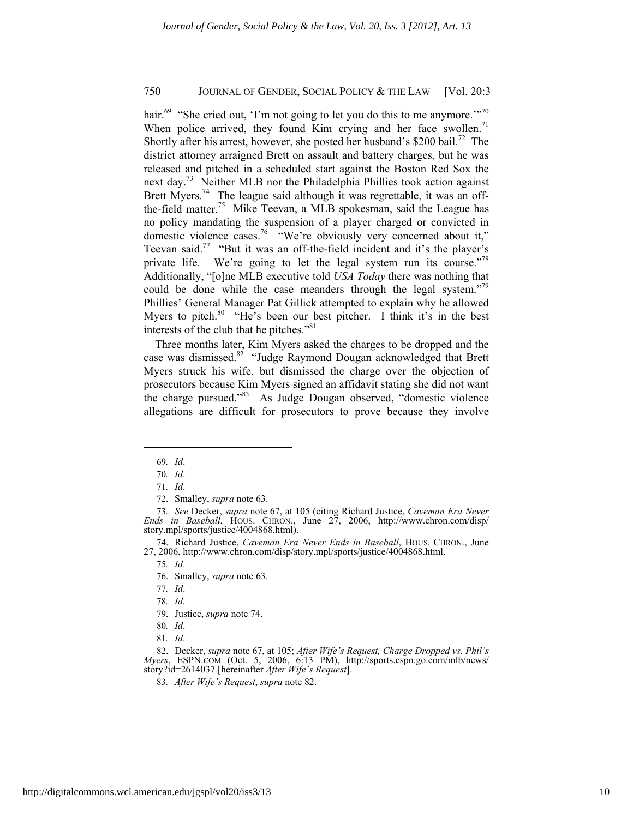hair.<sup>69</sup> "She cried out, 'I'm not going to let you do this to me anymore.'"<sup>70</sup> When police arrived, they found Kim crying and her face swollen. $71$ Shortly after his arrest, however, she posted her husband's \$200 bail.<sup>72</sup> The district attorney arraigned Brett on assault and battery charges, but he was released and pitched in a scheduled start against the Boston Red Sox the next day.<sup>73</sup> Neither MLB nor the Philadelphia Phillies took action against Brett Myers.<sup>74</sup> The league said although it was regrettable, it was an offthe-field matter.<sup>75</sup> Mike Teevan, a MLB spokesman, said the League has no policy mandating the suspension of a player charged or convicted in domestic violence cases.<sup>76</sup> "We're obviously very concerned about it," Teevan said.77 "But it was an off-the-field incident and it's the player's private life. We're going to let the legal system run its course."<sup>78</sup> Additionally, "[o]ne MLB executive told *USA Today* there was nothing that could be done while the case meanders through the legal system."<sup>79</sup> Phillies' General Manager Pat Gillick attempted to explain why he allowed Myers to pitch. $80$  "He's been our best pitcher. I think it's in the best interests of the club that he pitches."<sup>81</sup>

Three months later, Kim Myers asked the charges to be dropped and the case was dismissed.<sup>82</sup> "Judge Raymond Dougan acknowledged that Brett Myers struck his wife, but dismissed the charge over the objection of prosecutors because Kim Myers signed an affidavit stating she did not want the charge pursued."83 As Judge Dougan observed, "domestic violence allegations are difficult for prosecutors to prove because they involve

l

74. Richard Justice, *Caveman Era Never Ends in Baseball*, HOUS. CHRON., June 27, 2006, http://www.chron.com/disp/story.mpl/sports/justice/4004868.html.

75*. Id*.

76. Smalley, *supra* note 63.

79. Justice, *supra* note 74.

<sup>69</sup>*. Id*.

<sup>70</sup>*. Id*.

<sup>71</sup>*. Id*.

<sup>72.</sup> Smalley, *supra* note 63.

<sup>73</sup>*. See* Decker, *supra* note 67, at 105 (citing Richard Justice, *Caveman Era Never Ends in Baseball*, HOUS. CHRON., June 27, 2006, http://www.chron.com/disp/ story.mpl/sports/justice/4004868.html).

<sup>77</sup>*. Id*.

<sup>78</sup>*. Id.*

<sup>80</sup>*. Id*.

<sup>81</sup>*. Id*.

<sup>82.</sup> Decker, *supra* note 67, at 105; *After Wife's Request, Charge Dropped vs. Phil's Myers*, ESPN.COM (Oct. 5, 2006, 6:13 PM), http://sports.espn.go.com/mlb/news/ story?id=2614037 [hereinafter *After Wife's Request*].

<sup>83</sup>*. After Wife's Request*, *supra* note 82.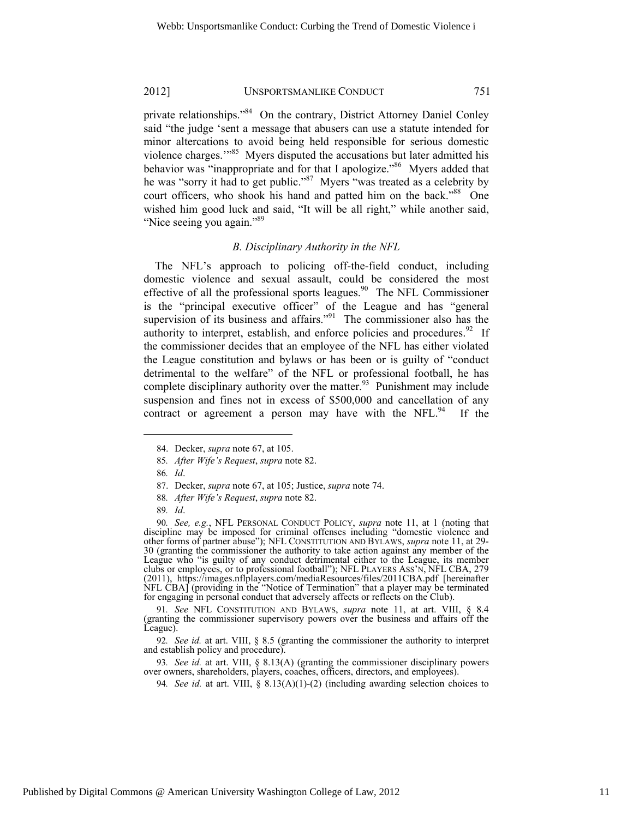private relationships."84 On the contrary, District Attorney Daniel Conley said "the judge 'sent a message that abusers can use a statute intended for minor altercations to avoid being held responsible for serious domestic violence charges."<sup>85</sup> Myers disputed the accusations but later admitted his behavior was "inappropriate and for that I apologize."<sup>86</sup> Myers added that he was "sorry it had to get public."<sup>87</sup> Myers "was treated as a celebrity by court officers, who shook his hand and patted him on the back."<sup>88</sup> One wished him good luck and said, "It will be all right," while another said, "Nice seeing you again."<sup>89</sup>

#### *B. Disciplinary Authority in the NFL*

The NFL's approach to policing off-the-field conduct, including domestic violence and sexual assault, could be considered the most effective of all the professional sports leagues. $90$  The NFL Commissioner is the "principal executive officer" of the League and has "general supervision of its business and affairs."<sup>91</sup> The commissioner also has the authority to interpret, establish, and enforce policies and procedures.<sup>92</sup> If the commissioner decides that an employee of the NFL has either violated the League constitution and bylaws or has been or is guilty of "conduct detrimental to the welfare" of the NFL or professional football, he has complete disciplinary authority over the matter. $93$  Punishment may include suspension and fines not in excess of \$500,000 and cancellation of any contract or agreement a person may have with the NFL. $94$  If the

l

93*. See id.* at art. VIII, § 8.13(A) (granting the commissioner disciplinary powers over owners, shareholders, players, coaches, officers, directors, and employees).

<sup>84.</sup> Decker, *supra* note 67, at 105.

<sup>85</sup>*. After Wife's Request*, *supra* note 82.

<sup>86</sup>*. Id*.

<sup>87.</sup> Decker, *supra* note 67, at 105; Justice, *supra* note 74.

<sup>88</sup>*. After Wife's Request*, *supra* note 82.

<sup>89</sup>*. Id*.

<sup>90</sup>*. See, e.g.*, NFL PERSONAL CONDUCT POLICY, *supra* note 11, at 1 (noting that discipline may be imposed for criminal offenses including "domestic violence and other forms of partner abuse"); NFL CONSTITUTION AND BYLAWS, *supra* note 11, at 29- 30 (granting the commissioner the authority to take action against any member of the League who "is guilty of any conduct detrimental either to the League, its member clubs or employees, or to professional football"); NFL PLAYERS ASS'N, NFL CBA, 279 (2011), https://images.nflplayers.com/mediaResources/files/2011CBA.pdf [hereinafter NFL CBA] (providing in the "Notice of Termination" that a player may be terminated for engaging in personal conduct that adversely affects or reflects on the Club).

<sup>91</sup>*. See* NFL CONSTITUTION AND BYLAWS, *supra* note 11, at art. VIII, § 8.4 (granting the commissioner supervisory powers over the business and affairs off the League).

<sup>92</sup>*. See id.* at art. VIII, § 8.5 (granting the commissioner the authority to interpret and establish policy and procedure).

<sup>94</sup>*. See id.* at art. VIII,  $\S 8.13(A)(1)-(2)$  (including awarding selection choices to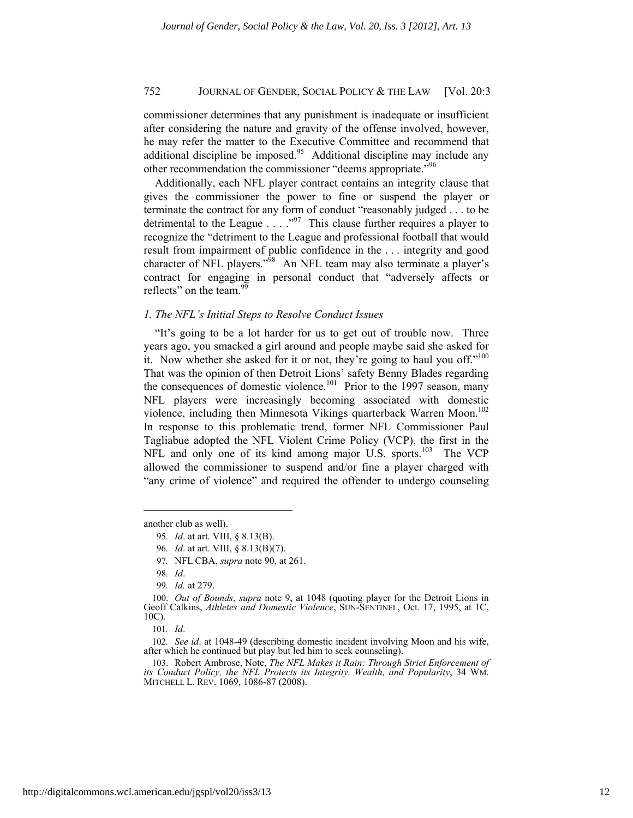commissioner determines that any punishment is inadequate or insufficient after considering the nature and gravity of the offense involved, however, he may refer the matter to the Executive Committee and recommend that additional discipline be imposed.<sup>95</sup> Additional discipline may include any other recommendation the commissioner "deems appropriate."<sup>96</sup>

Additionally, each NFL player contract contains an integrity clause that gives the commissioner the power to fine or suspend the player or terminate the contract for any form of conduct "reasonably judged . . . to be detrimental to the League  $\ldots$   $\ldots$  <sup>97</sup> This clause further requires a player to recognize the "detriment to the League and professional football that would result from impairment of public confidence in the . . . integrity and good character of NFL players."<sup>98</sup> An NFL team may also terminate a player's contract for engaging in personal conduct that "adversely affects or reflects" on the team. $9$ 

#### *1. The NFL's Initial Steps to Resolve Conduct Issues*

"It's going to be a lot harder for us to get out of trouble now. Three years ago, you smacked a girl around and people maybe said she asked for it. Now whether she asked for it or not, they're going to haul you off."<sup>100</sup> That was the opinion of then Detroit Lions' safety Benny Blades regarding the consequences of domestic violence.<sup>101</sup> Prior to the 1997 season, many NFL players were increasingly becoming associated with domestic violence, including then Minnesota Vikings quarterback Warren Moon.<sup>102</sup> In response to this problematic trend, former NFL Commissioner Paul Tagliabue adopted the NFL Violent Crime Policy (VCP), the first in the NFL and only one of its kind among major U.S. sports.<sup>103</sup> The VCP allowed the commissioner to suspend and/or fine a player charged with "any crime of violence" and required the offender to undergo counseling

another club as well).

<sup>95</sup>*. Id*. at art. VIII, § 8.13(B).

<sup>96</sup>*. Id*. at art. VIII, § 8.13(B)(7).

<sup>97</sup>*.* NFL CBA, *supra* note 90, at 261.

<sup>98</sup>*. Id*.

<sup>99</sup>*. Id.* at 279.

<sup>100.</sup> *Out of Bounds*, *supra* note 9, at 1048 (quoting player for the Detroit Lions in Geoff Calkins, *Athletes and Domestic Violence*, SUN-SENTINEL, Oct. 17, 1995, at 1C, 10C).

<sup>101</sup>*. Id*.

<sup>102</sup>*. See id*. at 1048-49 (describing domestic incident involving Moon and his wife, after which he continued but play but led him to seek counseling).

<sup>103.</sup> Robert Ambrose, Note, *The NFL Makes it Rain: Through Strict Enforcement of its Conduct Policy, the NFL Protects its Integrity, Wealth, and Popularity*, 34 WM. MITCHELL L. REV. 1069, 1086-87 (2008).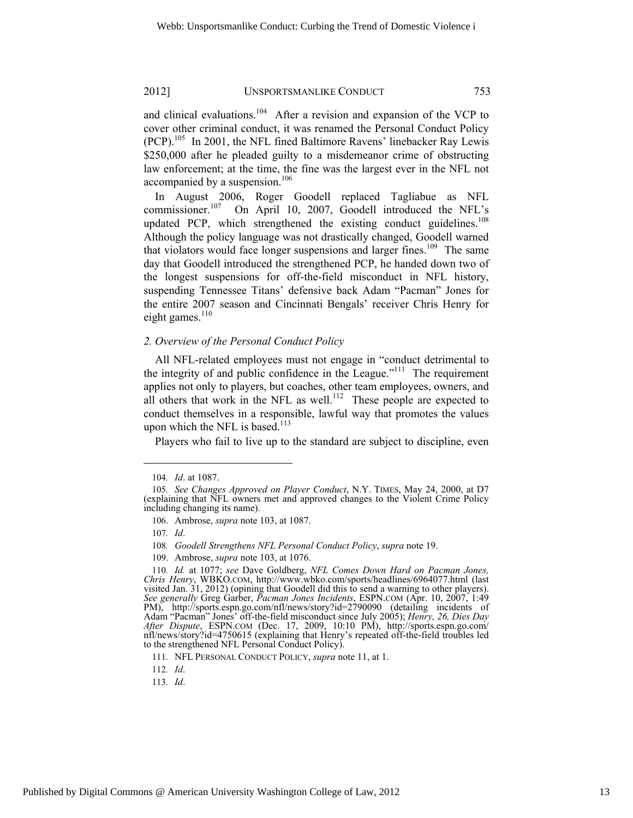and clinical evaluations. $104$  After a revision and expansion of the VCP to cover other criminal conduct, it was renamed the Personal Conduct Policy  $(PCP)$ <sup>105</sup> In 2001, the NFL fined Baltimore Ravens' linebacker Ray Lewis \$250,000 after he pleaded guilty to a misdemeanor crime of obstructing law enforcement; at the time, the fine was the largest ever in the NFL not accompanied by a suspension.<sup>106</sup>

In August 2006, Roger Goodell replaced Tagliabue as NFL commissioner.<sup>107</sup> On April 10, 2007, Goodell introduced the NFL's updated PCP, which strengthened the existing conduct guidelines. $^{108}$ Although the policy language was not drastically changed, Goodell warned that violators would face longer suspensions and larger fines.<sup>109</sup> The same day that Goodell introduced the strengthened PCP, he handed down two of the longest suspensions for off-the-field misconduct in NFL history, suspending Tennessee Titans' defensive back Adam "Pacman" Jones for the entire 2007 season and Cincinnati Bengals' receiver Chris Henry for eight games.<sup>110</sup>

#### *2. Overview of the Personal Conduct Policy*

All NFL-related employees must not engage in "conduct detrimental to the integrity of and public confidence in the League."111 The requirement applies not only to players, but coaches, other team employees, owners, and all others that work in the NFL as well.<sup>112</sup> These people are expected to conduct themselves in a responsible, lawful way that promotes the values upon which the NFL is based. $113$ 

Players who fail to live up to the standard are subject to discipline, even

l

109. Ambrose, *supra* note 103, at 1076.

<sup>104</sup>*. Id*. at 1087.

<sup>105</sup>*. See Changes Approved on Player Conduct*, N.Y. TIMES, May 24, 2000, at D7 (explaining that NFL owners met and approved changes to the Violent Crime Policy including changing its name).

<sup>106.</sup> Ambrose, *supra* note 103, at 1087.

<sup>107</sup>*. Id*.

<sup>108</sup>*. Goodell Strengthens NFL Personal Conduct Policy*, *supra* note 19.

<sup>110</sup>*. Id.* at 1077; *see* Dave Goldberg, *NFL Comes Down Hard on Pacman Jones, Chris Henry*, WBKO.COM, http://www.wbko.com/sports/headlines/6964077.html (last visited Jan. 31, 2012) (opining that Goodell did this to send a warning to other players). *See generally* Greg Garber, *Pacman Jones Incidents*, ESPN.COM (Apr. 10, 2007, 1:49 PM), http://sports.espn.go.com/nfl/news/story?id=2790090 (detailing incidents of Adam "Pacman" Jones' off-the-field misconduct since July 2005); *Henry, 26, Dies Day After Dispute*, ESPN.COM (Dec. 17, 2009, 10:10 PM), http://sports.espn.go.com/ nfl/news/story?id=4750615 (explaining that Henry's repeated off-the-field troubles led to the strengthened NFL Personal Conduct Policy).

<sup>111</sup>*.* NFL PERSONAL CONDUCT POLICY, *supra* note 11, at 1.

<sup>112</sup>*. Id*.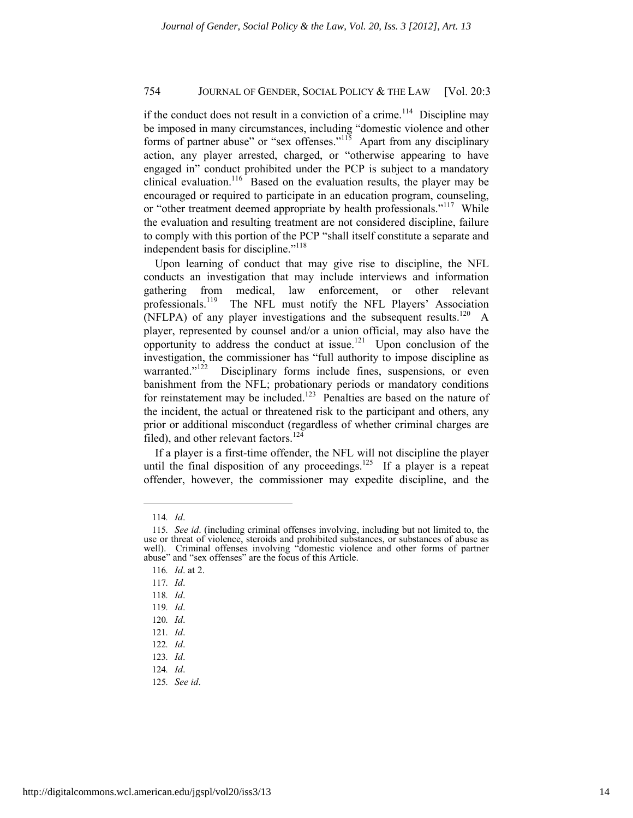if the conduct does not result in a conviction of a crime.<sup>114</sup> Discipline may be imposed in many circumstances, including "domestic violence and other forms of partner abuse" or "sex offenses."<sup>115</sup> Apart from any disciplinary action, any player arrested, charged, or "otherwise appearing to have engaged in" conduct prohibited under the PCP is subject to a mandatory clinical evaluation.<sup>116</sup> Based on the evaluation results, the player may be encouraged or required to participate in an education program, counseling, or "other treatment deemed appropriate by health professionals."<sup>117</sup> While the evaluation and resulting treatment are not considered discipline, failure to comply with this portion of the PCP "shall itself constitute a separate and independent basis for discipline."<sup>118</sup>

Upon learning of conduct that may give rise to discipline, the NFL conducts an investigation that may include interviews and information gathering from medical, law enforcement, or other relevant professionals.<sup>119</sup> The NFL must notify the NFL Players' Association (NFLPA) of any player investigations and the subsequent results.<sup>120</sup> A player, represented by counsel and/or a union official, may also have the opportunity to address the conduct at issue.<sup>121</sup> Upon conclusion of the investigation, the commissioner has "full authority to impose discipline as warranted."<sup>122</sup> Disciplinary forms include fines, suspensions, or even banishment from the NFL; probationary periods or mandatory conditions for reinstatement may be included.<sup>123</sup> Penalties are based on the nature of the incident, the actual or threatened risk to the participant and others, any prior or additional misconduct (regardless of whether criminal charges are filed), and other relevant factors. $124$ 

If a player is a first-time offender, the NFL will not discipline the player until the final disposition of any proceedings.<sup>125</sup> If a player is a repeat offender, however, the commissioner may expedite discipline, and the

<sup>114</sup>*. Id*.

<sup>115</sup>*. See id*. (including criminal offenses involving, including but not limited to, the use or threat of violence, steroids and prohibited substances, or substances of abuse as well). Criminal offenses involving "domestic violence and other forms of partner abuse" and "sex offenses" are the focus of this Article.

<sup>116</sup>*. Id*. at 2.

<sup>117</sup>*. Id*.

<sup>118</sup>*. Id*.

<sup>119</sup>*. Id*.

<sup>120</sup>*. Id*.

<sup>121</sup>*. Id*.

<sup>122</sup>*. Id*.

<sup>123</sup>*. Id*.

<sup>124</sup>*. Id*.

<sup>125</sup>*. See id*.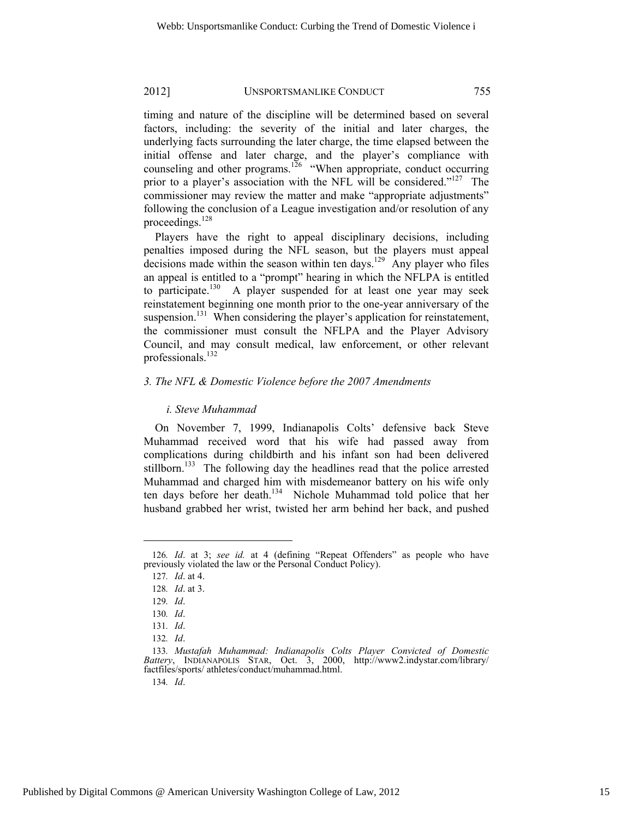timing and nature of the discipline will be determined based on several factors, including: the severity of the initial and later charges, the underlying facts surrounding the later charge, the time elapsed between the initial offense and later charge, and the player's compliance with counseling and other programs.<sup>126</sup> "When appropriate, conduct occurring prior to a player's association with the NFL will be considered."<sup>127</sup> The commissioner may review the matter and make "appropriate adjustments" following the conclusion of a League investigation and/or resolution of any proceedings.<sup>128</sup>

Players have the right to appeal disciplinary decisions, including penalties imposed during the NFL season, but the players must appeal decisions made within the season within ten days.<sup>129</sup> Any player who files an appeal is entitled to a "prompt" hearing in which the NFLPA is entitled to participate.<sup>130</sup> A player suspended for at least one year may seek reinstatement beginning one month prior to the one-year anniversary of the suspension.<sup>131</sup> When considering the player's application for reinstatement, the commissioner must consult the NFLPA and the Player Advisory Council, and may consult medical, law enforcement, or other relevant professionals.<sup>132</sup>

#### *3. The NFL & Domestic Violence before the 2007 Amendments*

#### *i. Steve Muhammad*

On November 7, 1999, Indianapolis Colts' defensive back Steve Muhammad received word that his wife had passed away from complications during childbirth and his infant son had been delivered stillborn.<sup>133</sup> The following day the headlines read that the police arrested Muhammad and charged him with misdemeanor battery on his wife only ten days before her death.<sup>134</sup> Nichole Muhammad told police that her husband grabbed her wrist, twisted her arm behind her back, and pushed

l

<sup>126</sup>*. Id*. at 3; *see id.* at 4 (defining "Repeat Offenders" as people who have previously violated the law or the Personal Conduct Policy).

<sup>127</sup>*. Id*. at 4.

<sup>128</sup>*. Id*. at 3.

<sup>129</sup>*. Id*.

<sup>130</sup>*. Id*.

<sup>131</sup>*. Id*.

<sup>132</sup>*. Id*.

<sup>133</sup>*. Mustafah Muhammad: Indianapolis Colts Player Convicted of Domestic Battery*, INDIANAPOLIS STAR, Oct. 3, 2000, http://www2.indystar.com/library/ factfiles/sports/ athletes/conduct/muhammad.html.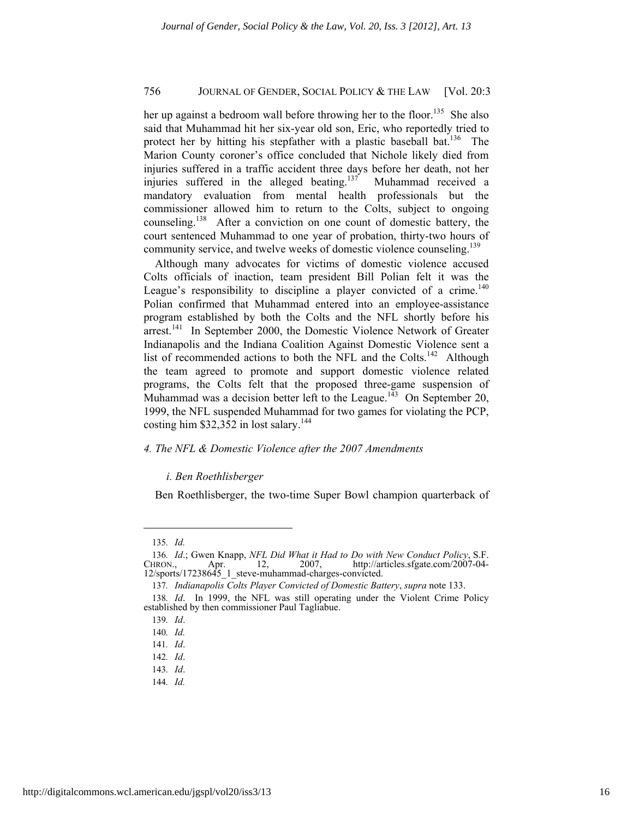her up against a bedroom wall before throwing her to the floor.<sup>135</sup> She also said that Muhammad hit her six-year old son, Eric, who reportedly tried to protect her by hitting his stepfather with a plastic baseball bat.<sup>136</sup> The Marion County coroner's office concluded that Nichole likely died from injuries suffered in a traffic accident three days before her death, not her injuries suffered in the alleged beating.<sup>137</sup> Muhammad received a mandatory evaluation from mental health professionals but the commissioner allowed him to return to the Colts, subject to ongoing counseling.138 After a conviction on one count of domestic battery, the court sentenced Muhammad to one year of probation, thirty-two hours of community service, and twelve weeks of domestic violence counseling.<sup>139</sup>

Although many advocates for victims of domestic violence accused Colts officials of inaction, team president Bill Polian felt it was the League's responsibility to discipline a player convicted of a crime.<sup>140</sup> Polian confirmed that Muhammad entered into an employee-assistance program established by both the Colts and the NFL shortly before his arrest.<sup>141</sup> In September 2000, the Domestic Violence Network of Greater Indianapolis and the Indiana Coalition Against Domestic Violence sent a list of recommended actions to both the NFL and the Colts.<sup>142</sup> Although the team agreed to promote and support domestic violence related programs, the Colts felt that the proposed three-game suspension of Muhammad was a decision better left to the League.<sup>143</sup> On September 20, 1999, the NFL suspended Muhammad for two games for violating the PCP, costing him  $$32,352$  in lost salary.<sup>144</sup>

## *4. The NFL & Domestic Violence after the 2007 Amendments*

#### *i. Ben Roethlisberger*

Ben Roethlisberger, the two-time Super Bowl champion quarterback of

<sup>135</sup>*. Id.*

<sup>136</sup>*. Id.*; Gwen Knapp, *NFL Did What it Had to Do with New Conduct Policy*, S.F.<br>HRON., Apr. 12, 2007, http://articles.sfgate.com/2007-04-CHRON., Apr. 12, 2007, http://articles.sfgate.com/2007-04- 12/sports/17238645\_1\_steve-muhammad-charges-convicted.

<sup>137</sup>*. Indianapolis Colts Player Convicted of Domestic Battery*, *supra* note 133.

<sup>138</sup>*. Id*. In 1999, the NFL was still operating under the Violent Crime Policy established by then commissioner Paul Tagliabue.

<sup>139</sup>*. Id*.

<sup>140</sup>*. Id.*

<sup>141</sup>*. Id*.

<sup>142</sup>*. Id*.

<sup>143</sup>*. Id*.

<sup>144</sup>*. Id.*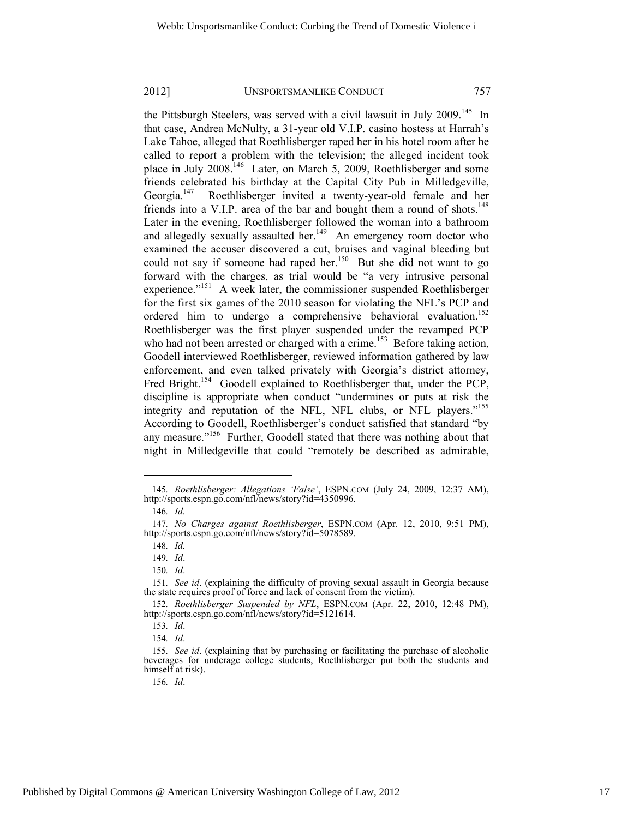the Pittsburgh Steelers, was served with a civil lawsuit in July 2009.<sup>145</sup> In that case, Andrea McNulty, a 31-year old V.I.P. casino hostess at Harrah's Lake Tahoe, alleged that Roethlisberger raped her in his hotel room after he called to report a problem with the television; the alleged incident took place in July 2008.146 Later, on March 5, 2009, Roethlisberger and some friends celebrated his birthday at the Capital City Pub in Milledgeville, Georgia.<sup>147</sup> Roethlisberger invited a twenty-year-old female and her friends into a V.I.P. area of the bar and bought them a round of shots.<sup>148</sup> Later in the evening, Roethlisberger followed the woman into a bathroom and allegedly sexually assaulted her.<sup>149</sup> An emergency room doctor who examined the accuser discovered a cut, bruises and vaginal bleeding but could not say if someone had raped her.<sup>150</sup> But she did not want to go forward with the charges, as trial would be "a very intrusive personal experience."151 A week later, the commissioner suspended Roethlisberger for the first six games of the 2010 season for violating the NFL's PCP and ordered him to undergo a comprehensive behavioral evaluation.<sup>152</sup> Roethlisberger was the first player suspended under the revamped PCP who had not been arrested or charged with a crime.<sup>153</sup> Before taking action, Goodell interviewed Roethlisberger, reviewed information gathered by law enforcement, and even talked privately with Georgia's district attorney, Fred Bright.<sup>154</sup> Goodell explained to Roethlisberger that, under the PCP, discipline is appropriate when conduct "undermines or puts at risk the integrity and reputation of the NFL, NFL clubs, or NFL players."<sup>155</sup> According to Goodell, Roethlisberger's conduct satisfied that standard "by any measure."<sup>156</sup> Further, Goodell stated that there was nothing about that night in Milledgeville that could "remotely be described as admirable,

<sup>145</sup>*. Roethlisberger: Allegations 'False'*, ESPN.COM (July 24, 2009, 12:37 AM), http://sports.espn.go.com/nfl/news/story?id=4350996.

<sup>146</sup>*. Id.*

<sup>147</sup>*. No Charges against Roethlisberger*, ESPN.COM (Apr. 12, 2010, 9:51 PM), http://sports.espn.go.com/nfl/news/story?id=5078589.

<sup>148</sup>*. Id.*

<sup>149</sup>*. Id*.

<sup>150</sup>*. Id*.

<sup>151</sup>*. See id*. (explaining the difficulty of proving sexual assault in Georgia because the state requires proof of force and lack of consent from the victim).

<sup>152</sup>*. Roethlisberger Suspended by NFL*, ESPN.COM (Apr. 22, 2010, 12:48 PM), http://sports.espn.go.com/nfl/news/story?id=5121614.

<sup>153</sup>*. Id*.

<sup>154</sup>*. Id*.

<sup>155</sup>*. See id*. (explaining that by purchasing or facilitating the purchase of alcoholic beverages for underage college students, Roethlisberger put both the students and himself at risk).

<sup>156</sup>*. Id*.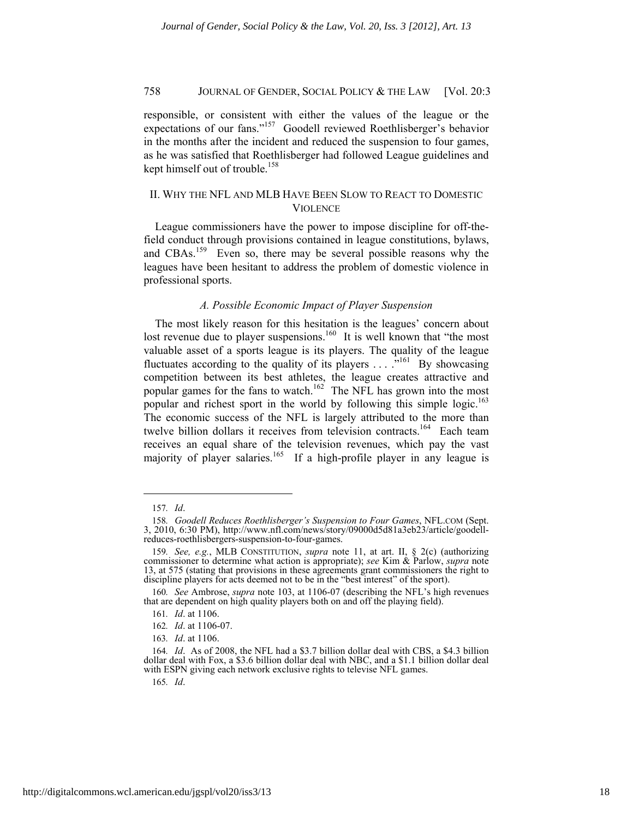responsible, or consistent with either the values of the league or the expectations of our fans."157 Goodell reviewed Roethlisberger's behavior in the months after the incident and reduced the suspension to four games, as he was satisfied that Roethlisberger had followed League guidelines and kept himself out of trouble.<sup>158</sup>

# II. WHY THE NFL AND MLB HAVE BEEN SLOW TO REACT TO DOMESTIC VIOLENCE

League commissioners have the power to impose discipline for off-thefield conduct through provisions contained in league constitutions, bylaws, and CBAs.<sup>159</sup> Even so, there may be several possible reasons why the leagues have been hesitant to address the problem of domestic violence in professional sports.

#### *A. Possible Economic Impact of Player Suspension*

The most likely reason for this hesitation is the leagues' concern about lost revenue due to player suspensions.<sup>160</sup> It is well known that "the most valuable asset of a sports league is its players. The quality of the league fluctuates according to the quality of its players  $\dots$  ...<sup>161</sup> By showcasing competition between its best athletes, the league creates attractive and popular games for the fans to watch.<sup>162</sup> The NFL has grown into the most popular and richest sport in the world by following this simple logic.<sup>163</sup> The economic success of the NFL is largely attributed to the more than twelve billion dollars it receives from television contracts.<sup>164</sup> Each team receives an equal share of the television revenues, which pay the vast majority of player salaries.<sup>165</sup> If a high-profile player in any league is

l

<sup>157</sup>*. Id*.

<sup>158</sup>*. Goodell Reduces Roethlisberger's Suspension to Four Games*, NFL.COM (Sept. 3, 2010, 6:30 PM), http://www.nfl.com/news/story/09000d5d81a3eb23/article/goodellreduces-roethlisbergers-suspension-to-four-games.

<sup>159</sup>*. See, e.g.*, MLB CONSTITUTION, *supra* note 11, at art. II, § 2(c) (authorizing commissioner to determine what action is appropriate); *see* Kim & Parlow, *supra* note 13, at 575 (stating that provisions in these agreements grant commissioners the right to discipline players for acts deemed not to be in the "best interest" of the sport).

<sup>160</sup>*. See* Ambrose, *supra* note 103, at 1106-07 (describing the NFL's high revenues that are dependent on high quality players both on and off the playing field).

<sup>161</sup>*. Id*. at 1106.

<sup>162</sup>*. Id*. at 1106-07.

<sup>163</sup>*. Id*. at 1106.

<sup>164</sup>*. Id*. As of 2008, the NFL had a \$3.7 billion dollar deal with CBS, a \$4.3 billion dollar deal with Fox, a \$3.6 billion dollar deal with NBC, and a \$1.1 billion dollar deal with ESPN giving each network exclusive rights to televise NFL games.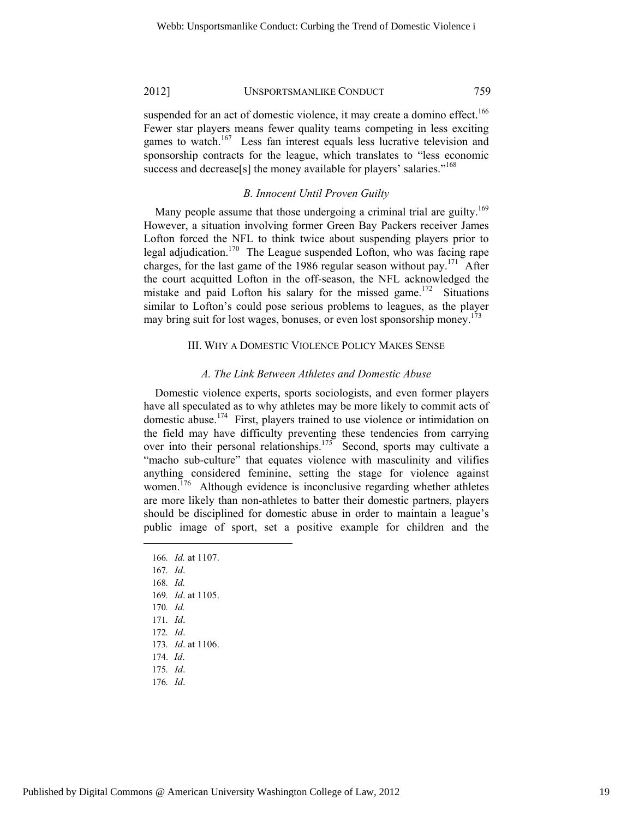suspended for an act of domestic violence, it may create a domino effect.<sup>166</sup> Fewer star players means fewer quality teams competing in less exciting games to watch.<sup>167</sup> Less fan interest equals less lucrative television and sponsorship contracts for the league, which translates to "less economic success and decrease[s] the money available for players' salaries."<sup>168</sup>

# *B. Innocent Until Proven Guilty*

Many people assume that those undergoing a criminal trial are guilty.<sup>169</sup> However, a situation involving former Green Bay Packers receiver James Lofton forced the NFL to think twice about suspending players prior to legal adjudication.<sup>170</sup> The League suspended Lofton, who was facing rape charges, for the last game of the 1986 regular season without pay.<sup>171</sup> After the court acquitted Lofton in the off-season, the NFL acknowledged the mistake and paid Lofton his salary for the missed game.<sup>172</sup> Situations similar to Lofton's could pose serious problems to leagues, as the player may bring suit for lost wages, bonuses, or even lost sponsorship money.<sup>173</sup>

# III. WHY A DOMESTIC VIOLENCE POLICY MAKES SENSE

#### *A. The Link Between Athletes and Domestic Abuse*

Domestic violence experts, sports sociologists, and even former players have all speculated as to why athletes may be more likely to commit acts of domestic abuse.174 First, players trained to use violence or intimidation on the field may have difficulty preventing these tendencies from carrying over into their personal relationships.<sup>175</sup> Second, sports may cultivate a "macho sub-culture" that equates violence with masculinity and vilifies anything considered feminine, setting the stage for violence against women.<sup>176</sup> Although evidence is inconclusive regarding whether athletes are more likely than non-athletes to batter their domestic partners, players should be disciplined for domestic abuse in order to maintain a league's public image of sport, set a positive example for children and the

166*. Id.* at 1107. 167*. Id*. 168*. Id.* 169*. Id*. at 1105. 170*. Id.* 171*. Id*. 172*. Id*. 173*. Id*. at 1106. 174. *Id*. 175*. Id*. 176*. Id*.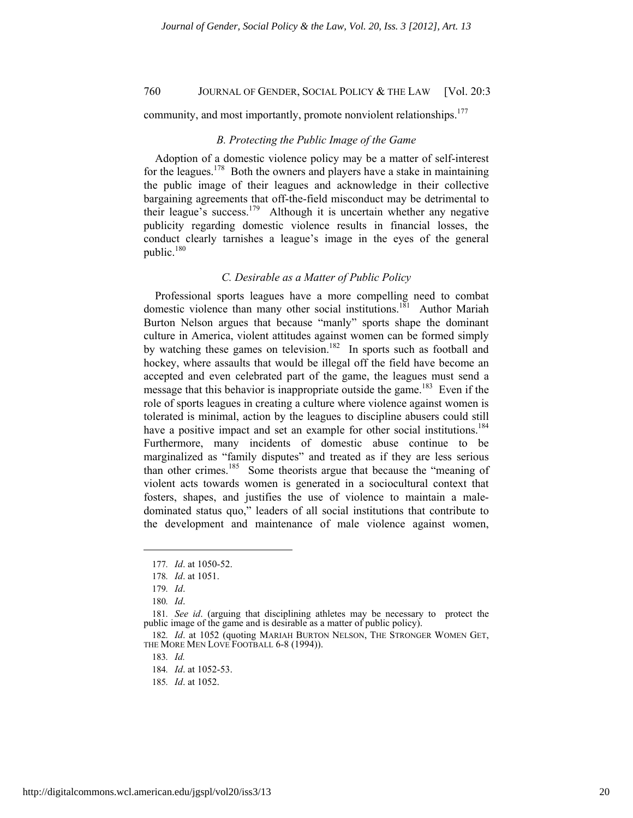community, and most importantly, promote nonviolent relationships.<sup>177</sup>

#### *B. Protecting the Public Image of the Game*

Adoption of a domestic violence policy may be a matter of self-interest for the leagues.<sup>178</sup> Both the owners and players have a stake in maintaining the public image of their leagues and acknowledge in their collective bargaining agreements that off-the-field misconduct may be detrimental to their league's success.<sup>179</sup> Although it is uncertain whether any negative publicity regarding domestic violence results in financial losses, the conduct clearly tarnishes a league's image in the eyes of the general public.<sup>180</sup>

# *C. Desirable as a Matter of Public Policy*

Professional sports leagues have a more compelling need to combat domestic violence than many other social institutions.<sup>181</sup> Author Mariah Burton Nelson argues that because "manly" sports shape the dominant culture in America, violent attitudes against women can be formed simply by watching these games on television.<sup>182</sup> In sports such as football and hockey, where assaults that would be illegal off the field have become an accepted and even celebrated part of the game, the leagues must send a message that this behavior is inappropriate outside the game.<sup>183</sup> Even if the role of sports leagues in creating a culture where violence against women is tolerated is minimal, action by the leagues to discipline abusers could still have a positive impact and set an example for other social institutions.<sup>184</sup> Furthermore, many incidents of domestic abuse continue to be marginalized as "family disputes" and treated as if they are less serious than other crimes.185 Some theorists argue that because the "meaning of violent acts towards women is generated in a sociocultural context that fosters, shapes, and justifies the use of violence to maintain a maledominated status quo," leaders of all social institutions that contribute to the development and maintenance of male violence against women,

l

<sup>177</sup>*. Id*. at 1050-52.

<sup>178</sup>*. Id*. at 1051.

<sup>179</sup>*. Id*.

<sup>180</sup>*. Id*.

<sup>181</sup>*. See id*. (arguing that disciplining athletes may be necessary to protect the public image of the game and is desirable as a matter of public policy).

<sup>182</sup>*. Id*. at 1052 (quoting MARIAH BURTON NELSON, THE STRONGER WOMEN GET, THE MORE MEN LOVE FOOTBALL 6-8 (1994)).

<sup>184</sup>*. Id*. at 1052-53.

<sup>185</sup>*. Id*. at 1052.